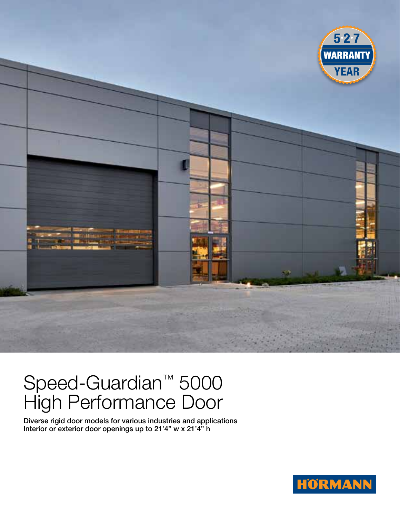

## Speed-Guardian™ 5000 High Performance Door

Diverse rigid door models for various industries and applications Interior or exterior door openings up to 21'4" w x 21'4" h